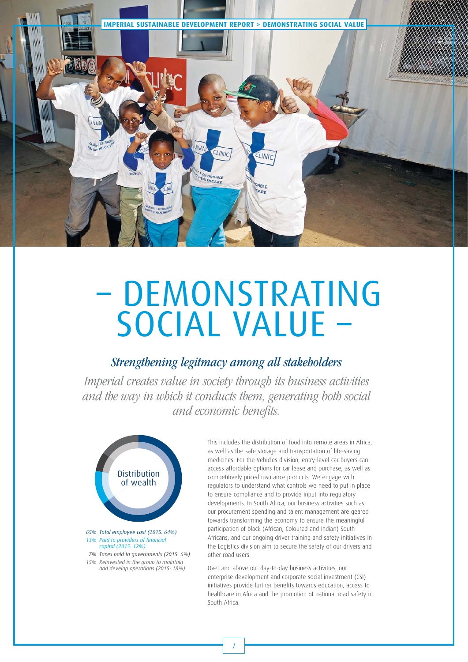

# – DEMONSTRATING SOCIAL VALUE –

## Strengthening legitmacy among all stakeholders

Imperial creates value in society through its business activities and the way in which it conducts them, generating both social and economic benefits.



*65% Total employee cost (2015: 64%) 13% Paid to providers of financial capital (2015: 12%)*

 *7% Taxes paid to governments (2015: 6%) 15% Reinvested in the group to maintain and develop operations (2015: 18%)*

This includes the distribution of food into remote areas in Africa, as well as the safe storage and transportation of life-saving medicines. For the Vehicles division, entry-level car buyers can access affordable options for car lease and purchase, as well as competitively priced insurance products. We engage with regulators to understand what controls we need to put in place to ensure compliance and to provide input into regulatory developments. In South Africa, our business activities such as our procurement spending and talent management are geared towards transforming the economy to ensure the meaningful participation of black (African, Coloured and Indian) South Africans, and our ongoing driver training and safety initiatives in the Logistics division aim to secure the safety of our drivers and other road users.

Over and above our day-to-day business activities, our enterprise development and corporate social investment (CSI) initiatives provide further benefits towards education, access to healthcare in Africa and the promotion of national road safety in South Africa.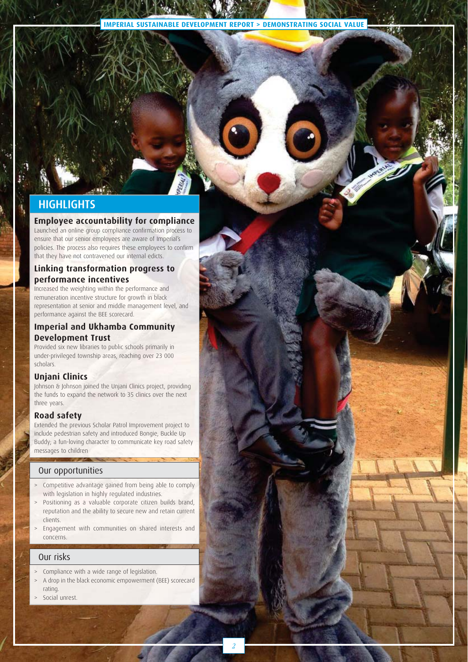**IMPERIAL SUSTAINABLE DEVELOPMENT REPORT > DEMONSTRATING SOCIAL VALUE**

2

### **HIGHLIGHTS**

#### **Employee accountability for compliance**

Launched an online group compliance confirmation process to ensure that our senior employees are aware of Imperial's policies. The process also requires these employees to confirm that they have not contravened our internal edicts.

#### **Linking transformation progress to performance incentives**

Increased the weighting within the performance and remuneration incentive structure for growth in black representation at senior and middle management level, and performance against the BEE scorecard.

#### **Imperial and Ukhamba Community Development Trust**

Provided six new libraries to public schools primarily in under-privileged township areas, reaching over 23 000 scholars.

#### **Unjani Clinics**

Johnson & Johnson joined the Unjani Clinics project, providing the funds to expand the network to 35 clinics over the next three years.

#### **Road safety**

Extended the previous Scholar Patrol Improvement project to include pedestrian safety and introduced Bongie, Buckle Up Buddy; a fun-loving character to communicate key road safety messages to children

#### Our opportunities

- Competitive advantage gained from being able to comply with legislation in highly regulated industries.
- > Positioning as a valuable corporate citizen builds brand, reputation and the ability to secure new and retain current clients.
- > Engagement with communities on shared interests and concerns.

#### Our risks

- Compliance with a wide range of legislation.
- A drop in the black economic empowerment (BEE) scorecard rating.
- Social unrest.